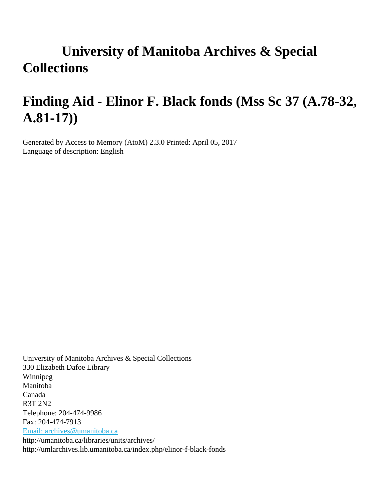# **University of Manitoba Archives & Special Collections**

# **Finding Aid - Elinor F. Black fonds (Mss Sc 37 (A.78-32, A.81-17))**

Generated by Access to Memory (AtoM) 2.3.0 Printed: April 05, 2017 Language of description: English

University of Manitoba Archives & Special Collections 330 Elizabeth Dafoe Library Winnipeg Manitoba Canada R3T 2N2 Telephone: 204-474-9986 Fax: 204-474-7913 [Email: archives@umanitoba.ca](mailto:Email: archives@umanitoba.ca) http://umanitoba.ca/libraries/units/archives/ http://umlarchives.lib.umanitoba.ca/index.php/elinor-f-black-fonds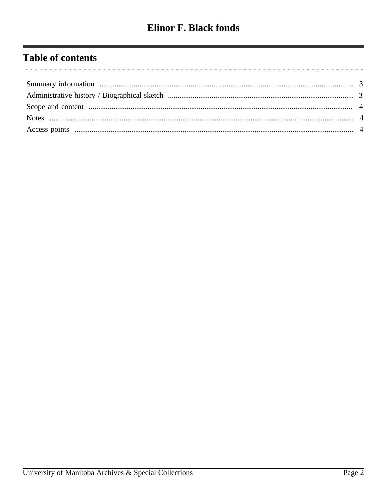## **Table of contents**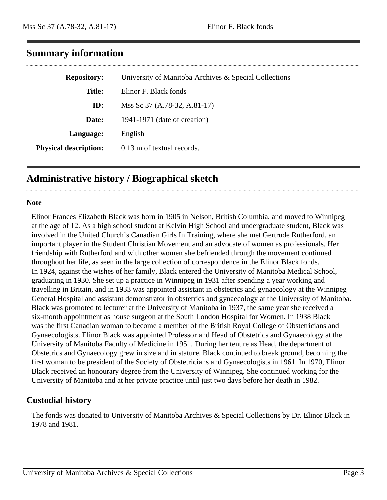| <b>Repository:</b>           | University of Manitoba Archives & Special Collections |
|------------------------------|-------------------------------------------------------|
| <b>Title:</b>                | Elinor F. Black fonds                                 |
| ID:                          | Mss Sc 37 (A.78-32, A.81-17)                          |
| Date:                        | 1941-1971 (date of creation)                          |
| Language:                    | English                                               |
| <b>Physical description:</b> | 0.13 m of textual records.                            |

### <span id="page-2-0"></span>**Summary information**

## <span id="page-2-1"></span>**Administrative history / Biographical sketch**

#### **Note**

Elinor Frances Elizabeth Black was born in 1905 in Nelson, British Columbia, and moved to Winnipeg at the age of 12. As a high school student at Kelvin High School and undergraduate student, Black was involved in the United Church's Canadian Girls In Training, where she met Gertrude Rutherford, an important player in the Student Christian Movement and an advocate of women as professionals. Her friendship with Rutherford and with other women she befriended through the movement continued throughout her life, as seen in the large collection of correspondence in the Elinor Black fonds. In 1924, against the wishes of her family, Black entered the University of Manitoba Medical School, graduating in 1930. She set up a practice in Winnipeg in 1931 after spending a year working and travelling in Britain, and in 1933 was appointed assistant in obstetrics and gynaecology at the Winnipeg General Hospital and assistant demonstrator in obstetrics and gynaecology at the University of Manitoba. Black was promoted to lecturer at the University of Manitoba in 1937, the same year she received a six-month appointment as house surgeon at the South London Hospital for Women. In 1938 Black was the first Canadian woman to become a member of the British Royal College of Obstetricians and Gynaecologists. Elinor Black was appointed Professor and Head of Obstetrics and Gynaecology at the University of Manitoba Faculty of Medicine in 1951. During her tenure as Head, the department of Obstetrics and Gynaecology grew in size and in stature. Black continued to break ground, becoming the first woman to be president of the Society of Obstetricians and Gynaecologists in 1961. In 1970, Elinor Black received an honourary degree from the University of Winnipeg. She continued working for the University of Manitoba and at her private practice until just two days before her death in 1982.

#### **Custodial history**

The fonds was donated to University of Manitoba Archives & Special Collections by Dr. Elinor Black in 1978 and 1981.